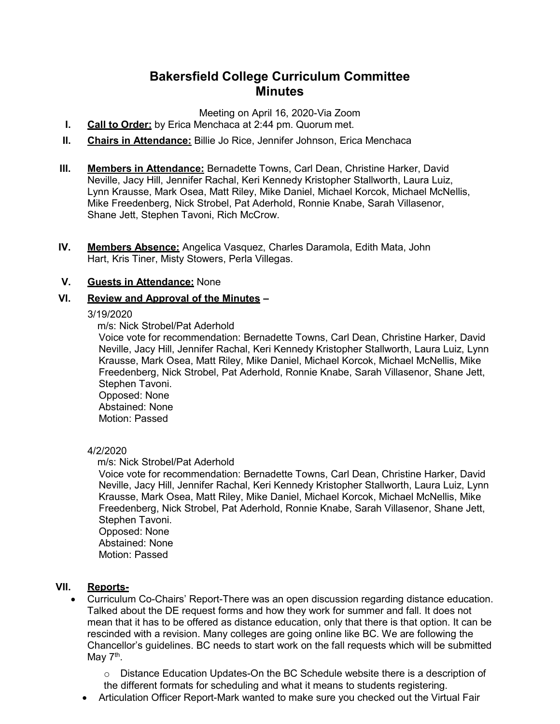# **Bakersfield College Curriculum Committee Minutes**

Meeting on April 16, 2020-Via Zoom

- **I. Call to Order:** by Erica Menchaca at 2:44 pm. Quorum met.
- **II. Chairs in Attendance:** Billie Jo Rice, Jennifer Johnson, Erica Menchaca
- **III. Members in Attendance:** Bernadette Towns, Carl Dean, Christine Harker, David Neville, Jacy Hill, Jennifer Rachal, Keri Kennedy Kristopher Stallworth, Laura Luiz, Lynn Krausse, Mark Osea, Matt Riley, Mike Daniel, Michael Korcok, Michael McNellis, Mike Freedenberg, Nick Strobel, Pat Aderhold, Ronnie Knabe, Sarah Villasenor, Shane Jett, Stephen Tavoni, Rich McCrow.
- **IV. Members Absence:** Angelica Vasquez, Charles Daramola, Edith Mata, John Hart, Kris Tiner, Misty Stowers, Perla Villegas.

## **V. Guests in Attendance:** None

## **VI. Review and Approval of the Minutes –**

## 3/19/2020

m/s: Nick Strobel/Pat Aderhold

Voice vote for recommendation: Bernadette Towns, Carl Dean, Christine Harker, David Neville, Jacy Hill, Jennifer Rachal, Keri Kennedy Kristopher Stallworth, Laura Luiz, Lynn Krausse, Mark Osea, Matt Riley, Mike Daniel, Michael Korcok, Michael McNellis, Mike Freedenberg, Nick Strobel, Pat Aderhold, Ronnie Knabe, Sarah Villasenor, Shane Jett, Stephen Tavoni.

Opposed: None Abstained: None Motion: Passed

## 4/2/2020

## m/s: Nick Strobel/Pat Aderhold

Voice vote for recommendation: Bernadette Towns, Carl Dean, Christine Harker, David Neville, Jacy Hill, Jennifer Rachal, Keri Kennedy Kristopher Stallworth, Laura Luiz, Lynn Krausse, Mark Osea, Matt Riley, Mike Daniel, Michael Korcok, Michael McNellis, Mike Freedenberg, Nick Strobel, Pat Aderhold, Ronnie Knabe, Sarah Villasenor, Shane Jett, Stephen Tavoni.

Opposed: None Abstained: None

Motion: Passed

## **VII. Reports-**

• Curriculum Co-Chairs' Report-There was an open discussion regarding distance education. Talked about the DE request forms and how they work for summer and fall. It does not mean that it has to be offered as distance education, only that there is that option. It can be rescinded with a revision. Many colleges are going online like BC. We are following the Chancellor's guidelines. BC needs to start work on the fall requests which will be submitted May  $7<sup>th</sup>$ .

o Distance Education Updates-On the BC Schedule website there is a description of the different formats for scheduling and what it means to students registering.

• Articulation Officer Report-Mark wanted to make sure you checked out the Virtual Fair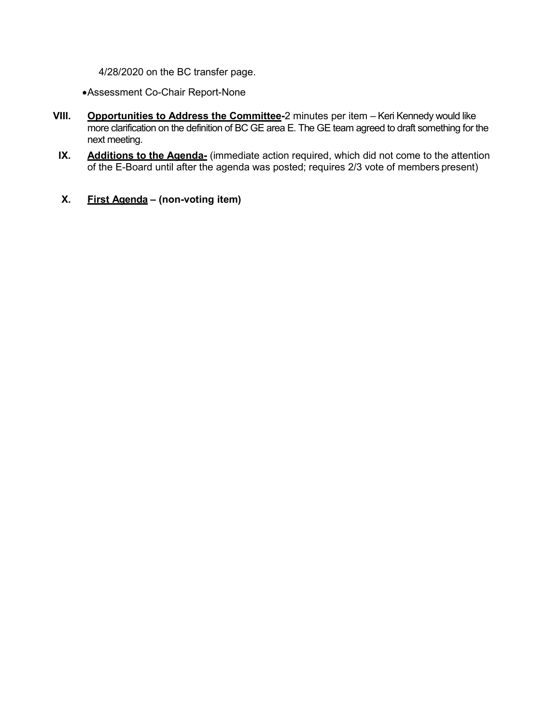4/28/2020 on the BC transfer page.

•Assessment Co-Chair Report-None

- **VIII. Opportunities to Address the Committee-**2 minutes per item Keri Kennedy would like more clarification on the definition of BC GE area E. The GE team agreed to draft something for the next meeting.
- **IX.** Additions to the Agenda- (immediate action required, which did not come to the attention of the E-Board until after the agenda was posted; requires 2/3 vote of members present)
- **X. First Agenda – (non-voting item)**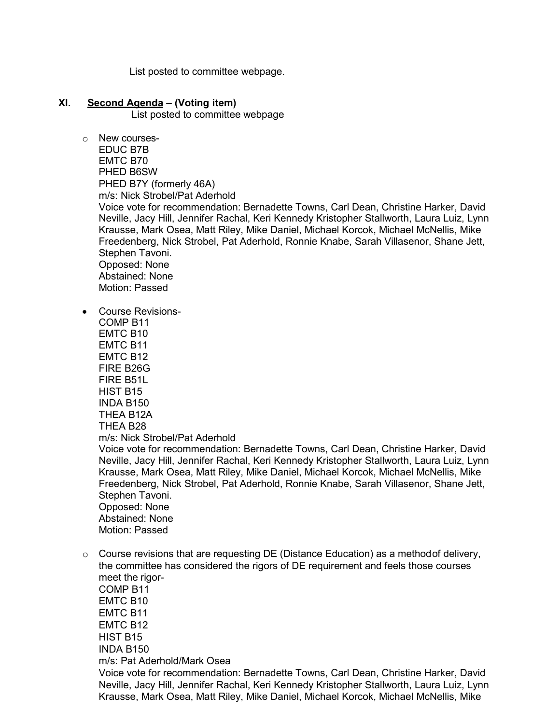List posted to committee webpage.

## **XI. Second Agenda – (Voting item)**

List posted to committee webpage

o New courses-

EDUC B7B EMTC B70 PHED B6SW PHED B7Y (formerly 46A) m/s: Nick Strobel/Pat Aderhold Voice vote for recommendation: Bernadette Towns, Carl Dean, Christine Harker, David Neville, Jacy Hill, Jennifer Rachal, Keri Kennedy Kristopher Stallworth, Laura Luiz, Lynn Krausse, Mark Osea, Matt Riley, Mike Daniel, Michael Korcok, Michael McNellis, Mike Freedenberg, Nick Strobel, Pat Aderhold, Ronnie Knabe, Sarah Villasenor, Shane Jett, Stephen Tavoni. Opposed: None Abstained: None Motion: Passed

• Course Revisions-

COMP B11 EMTC B10 EMTC B11 EMTC B12 FIRE B26G FIRE B51L HIST B15 INDA B150 THEA B12A THEA B28 m/s: Nick Strobel/Pat Aderhold Voice vote for recommendation: Bernadette Towns, Carl Dean, Christine Harker, David Neville, Jacy Hill, Jennifer Rachal, Keri Kennedy Kristopher Stallworth, Laura Luiz, Lynn Krausse, Mark Osea, Matt Riley, Mike Daniel, Michael Korcok, Michael McNellis, Mike Freedenberg, Nick Strobel, Pat Aderhold, Ronnie Knabe, Sarah Villasenor, Shane Jett, Stephen Tavoni. Opposed: None Abstained: None Motion: Passed

 $\circ$  Course revisions that are requesting DE (Distance Education) as a methodof delivery, the committee has considered the rigors of DE requirement and feels those courses meet the rigor-

COMP B11 EMTC B10 EMTC B11 EMTC B12 HIST B15 INDA B150 m/s: Pat Aderhold/Mark Osea Voice vote for recommendation: Bernadette Towns, Carl Dean, Christine Harker, David Neville, Jacy Hill, Jennifer Rachal, Keri Kennedy Kristopher Stallworth, Laura Luiz, Lynn Krausse, Mark Osea, Matt Riley, Mike Daniel, Michael Korcok, Michael McNellis, Mike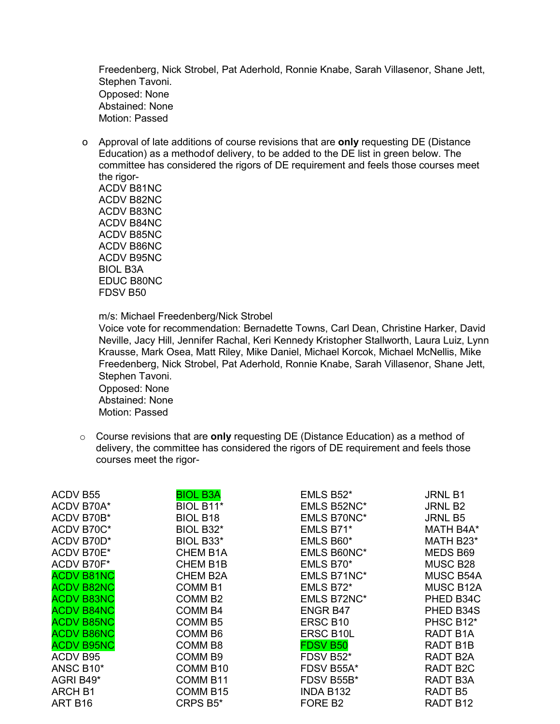Freedenberg, Nick Strobel, Pat Aderhold, Ronnie Knabe, Sarah Villasenor, Shane Jett, Stephen Tavoni. Opposed: None Abstained: None Motion: Passed

o Approval of late additions of course revisions that are **only** requesting DE (Distance Education) as a methodof delivery, to be added to the DE list in green below. The committee has considered the rigors of DE requirement and feels those courses meet the rigor-

ACDV B81NC ACDV B82NC ACDV B83NC ACDV B84NC ACDV B85NC ACDV B86NC ACDV B95NC BIOL B3A EDUC B80NC FDSV B50

m/s: Michael Freedenberg/Nick Strobel

Voice vote for recommendation: Bernadette Towns, Carl Dean, Christine Harker, David Neville, Jacy Hill, Jennifer Rachal, Keri Kennedy Kristopher Stallworth, Laura Luiz, Lynn Krausse, Mark Osea, Matt Riley, Mike Daniel, Michael Korcok, Michael McNellis, Mike Freedenberg, Nick Strobel, Pat Aderhold, Ronnie Knabe, Sarah Villasenor, Shane Jett, Stephen Tavoni.

Opposed: None Abstained: None Motion: Passed

o Course revisions that are **only** requesting DE (Distance Education) as a method of delivery, the committee has considered the rigors of DE requirement and feels those courses meet the rigor-

| ACDV B55          | <b>BIOL B3A</b>     | EMLS B52*           | <b>JRNL B1</b>   |
|-------------------|---------------------|---------------------|------------------|
| ACDV B70A*        | BIOL B11*           | EMLS B52NC*         | <b>JRNL B2</b>   |
| ACDV B70B*        | <b>BIOL B18</b>     | <b>EMLS B70NC*</b>  | <b>JRNL B5</b>   |
| ACDV B70C*        | BIOL B32*           | EMLS B71*           | MATH B4A*        |
| ACDV B70D*        | BIOL B33*           | EMLS B60*           | MATH B23*        |
| ACDV B70E*        | <b>CHEM B1A</b>     | <b>EMLS B60NC*</b>  | MEDS B69         |
| ACDV B70F*        | <b>CHEM B1B</b>     | EMLS B70*           | MUSC B28         |
| <b>ACDV B81NC</b> | <b>CHEM B2A</b>     | EMLS B71NC*         | <b>MUSC B54A</b> |
| <b>ACDV B82NC</b> | <b>COMM B1</b>      | EMLS B72*           | <b>MUSC B12A</b> |
| <b>ACDV B83NC</b> | COMM <sub>B2</sub>  | EMLS B72NC*         | PHED B34C        |
| <b>ACDV B84NC</b> | <b>COMM B4</b>      | <b>ENGR B47</b>     | PHED B34S        |
| <b>ACDV B85NC</b> | COMM <sub>B5</sub>  | ERSC B10            | PHSC B12*        |
| <b>ACDV B86NC</b> | COMM <sub>B6</sub>  | <b>ERSC B10L</b>    | RADT B1A         |
| <b>ACDV B95NC</b> | COMM <sub>B8</sub>  | <b>FDSV B50</b>     | RADT B1B         |
| ACDV B95          | COMM <sub>B9</sub>  | FDSV B52*           | RADT B2A         |
| ANSC B10*         | COMM B10            | FDSV B55A*          | <b>RADT B2C</b>  |
| AGRI B49*         | COMM <sub>B11</sub> | FDSV B55B*          | RADT B3A         |
| <b>ARCH B1</b>    | <b>COMM B15</b>     | INDA B132           | RADT B5          |
| ART B16           | CRPS B5*            | FORE B <sub>2</sub> | RADT B12         |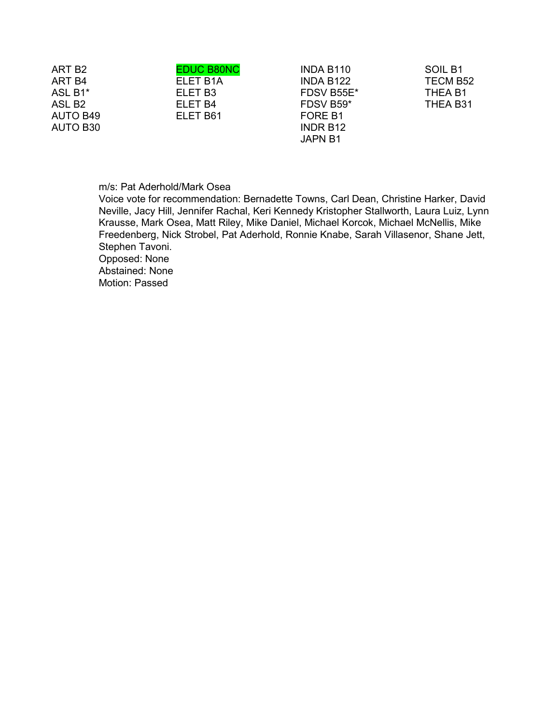| ART B <sub>2</sub>   | <b>EDUC B80NC</b> | INDA B110           | SOIL B1  |
|----------------------|-------------------|---------------------|----------|
| ART B4               | ELET B1A          | INDA B122           | TECM B52 |
| ASL B1*              | ELET B3           | FDSV B55E*          | THEA B1  |
| ASL B <sub>2</sub>   | ELET B4           | FDSV B59*           | THEA B31 |
| <b>AUTO B49</b>      | ELET B61          | FORE B <sub>1</sub> |          |
| AUTO B <sub>30</sub> |                   | INDR B12            |          |
|                      |                   | <b>JAPN B1</b>      |          |

### m/s: Pat Aderhold/Mark Osea

Voice vote for recommendation: Bernadette Towns, Carl Dean, Christine Harker, David Neville, Jacy Hill, Jennifer Rachal, Keri Kennedy Kristopher Stallworth, Laura Luiz, Lynn Krausse, Mark Osea, Matt Riley, Mike Daniel, Michael Korcok, Michael McNellis, Mike Freedenberg, Nick Strobel, Pat Aderhold, Ronnie Knabe, Sarah Villasenor, Shane Jett, Stephen Tavoni.

Opposed: None Abstained: None

Motion: Passed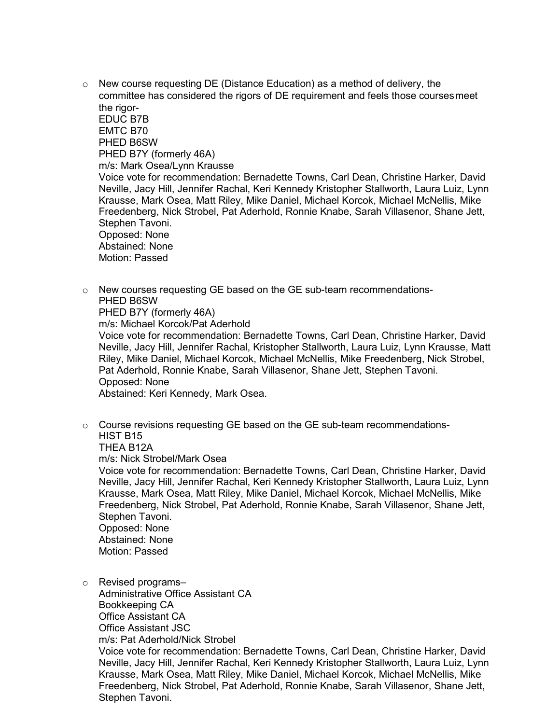$\circ$  New course requesting DE (Distance Education) as a method of delivery, the committee has considered the rigors of DE requirement and feels those coursesmeet the rigor-

EDUC B7B EMTC B70 PHED B6SW PHED B7Y (formerly 46A) m/s: Mark Osea/Lynn Krausse Voice vote for recommendation: Bernadette Towns, Carl Dean, Christine Harker, David Neville, Jacy Hill, Jennifer Rachal, Keri Kennedy Kristopher Stallworth, Laura Luiz, Lynn Krausse, Mark Osea, Matt Riley, Mike Daniel, Michael Korcok, Michael McNellis, Mike Freedenberg, Nick Strobel, Pat Aderhold, Ronnie Knabe, Sarah Villasenor, Shane Jett, Stephen Tavoni. Opposed: None Abstained: None Motion: Passed

 $\circ$  New courses requesting GE based on the GE sub-team recommendations-PHED B6SW PHED B7Y (formerly 46A)

m/s: Michael Korcok/Pat Aderhold

Voice vote for recommendation: Bernadette Towns, Carl Dean, Christine Harker, David Neville, Jacy Hill, Jennifer Rachal, Kristopher Stallworth, Laura Luiz, Lynn Krausse, Matt Riley, Mike Daniel, Michael Korcok, Michael McNellis, Mike Freedenberg, Nick Strobel, Pat Aderhold, Ronnie Knabe, Sarah Villasenor, Shane Jett, Stephen Tavoni. Opposed: None

Abstained: Keri Kennedy, Mark Osea.

 $\circ$  Course revisions requesting GE based on the GE sub-team recommendations-HIST B15

THEA B12A

m/s: Nick Strobel/Mark Osea

Voice vote for recommendation: Bernadette Towns, Carl Dean, Christine Harker, David Neville, Jacy Hill, Jennifer Rachal, Keri Kennedy Kristopher Stallworth, Laura Luiz, Lynn Krausse, Mark Osea, Matt Riley, Mike Daniel, Michael Korcok, Michael McNellis, Mike Freedenberg, Nick Strobel, Pat Aderhold, Ronnie Knabe, Sarah Villasenor, Shane Jett, Stephen Tavoni. Opposed: None Abstained: None

Motion: Passed

o Revised programs–

Administrative Office Assistant CA

Bookkeeping CA

Office Assistant CA

Office Assistant JSC m/s: Pat Aderhold/Nick Strobel

Voice vote for recommendation: Bernadette Towns, Carl Dean, Christine Harker, David Neville, Jacy Hill, Jennifer Rachal, Keri Kennedy Kristopher Stallworth, Laura Luiz, Lynn Krausse, Mark Osea, Matt Riley, Mike Daniel, Michael Korcok, Michael McNellis, Mike Freedenberg, Nick Strobel, Pat Aderhold, Ronnie Knabe, Sarah Villasenor, Shane Jett, Stephen Tavoni.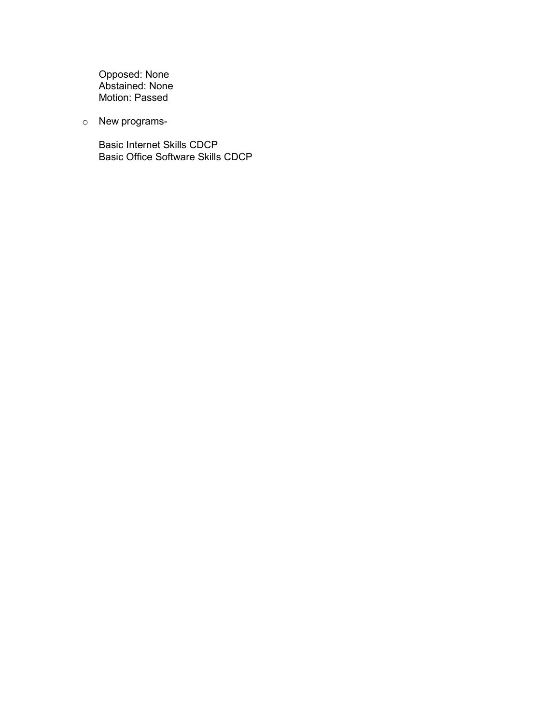Opposed: None Abstained: None Motion: Passed

o New programs-

Basic Internet Skills CDCP Basic Office Software Skills CDCP